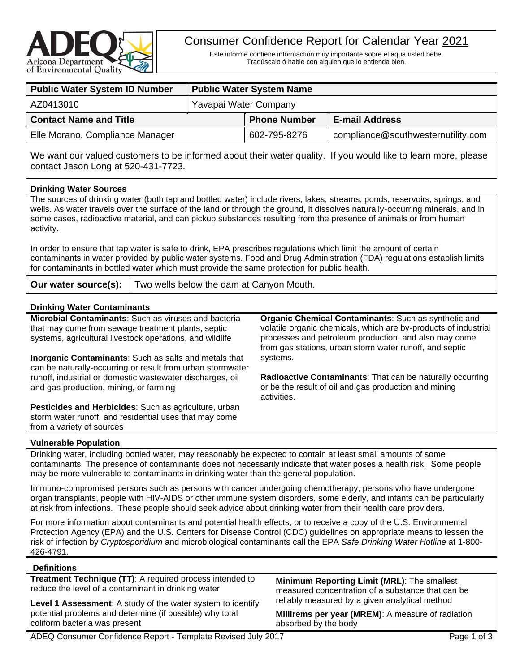

# Consumer Confidence Report for Calendar Year 2021

Este informe contiene informactión muy importante sobre el aqua usted bebe. Tradúscalo ó hable con alguien que lo entienda bien.

| <b>Public Water System ID Number</b> | <b>Public Water System Name</b> |                     |                                    |  |  |
|--------------------------------------|---------------------------------|---------------------|------------------------------------|--|--|
| AZ0413010                            | Yavapai Water Company           |                     |                                    |  |  |
| <b>Contact Name and Title</b>        |                                 | <b>Phone Number</b> | <b>E-mail Address</b>              |  |  |
| Elle Morano, Compliance Manager      |                                 | 602-795-8276        | compliance@southwesternutility.com |  |  |
|                                      |                                 |                     |                                    |  |  |

We want our valued customers to be informed about their water quality. If you would like to learn more, please contact Jason Long at 520-431-7723.

### **Drinking Water Sources**

The sources of drinking water (both tap and bottled water) include rivers, lakes, streams, ponds, reservoirs, springs, and wells. As water travels over the surface of the land or through the ground, it dissolves naturally-occurring minerals, and in some cases, radioactive material, and can pickup substances resulting from the presence of animals or from human activity.

In order to ensure that tap water is safe to drink, EPA prescribes regulations which limit the amount of certain contaminants in water provided by public water systems. Food and Drug Administration (FDA) regulations establish limits for contaminants in bottled water which must provide the same protection for public health.

**Our water source(s):** Two wells below the dam at Canyon Mouth.

## **Drinking Water Contaminants**

| <b>DITIATILY VALUE CONTAINING</b>                                                                                                                                             |                                                                                                                                                                                                                                                    |
|-------------------------------------------------------------------------------------------------------------------------------------------------------------------------------|----------------------------------------------------------------------------------------------------------------------------------------------------------------------------------------------------------------------------------------------------|
| <b>Microbial Contaminants:</b> Such as viruses and bacteria<br>that may come from sewage treatment plants, septic<br>systems, agricultural livestock operations, and wildlife | <b>Organic Chemical Contaminants: Such as synthetic and</b><br>volatile organic chemicals, which are by-products of industrial<br>processes and petroleum production, and also may come<br>from gas stations, urban storm water runoff, and septic |
| <b>Inorganic Contaminants:</b> Such as salts and metals that                                                                                                                  | systems.                                                                                                                                                                                                                                           |
| can be naturally-occurring or result from urban stormwater                                                                                                                    |                                                                                                                                                                                                                                                    |
| runoff, industrial or domestic wastewater discharges, oil<br>and gas production, mining, or farming                                                                           | <b>Radioactive Contaminants:</b> That can be naturally occurring<br>or be the result of oil and gas production and mining<br>activities.                                                                                                           |
| Pesticides and Herbicides: Such as agriculture, urban                                                                                                                         |                                                                                                                                                                                                                                                    |
| storm water runoff, and residential uses that may come                                                                                                                        |                                                                                                                                                                                                                                                    |

# from a variety of sources **Vulnerable Population**

Drinking water, including bottled water, may reasonably be expected to contain at least small amounts of some contaminants. The presence of contaminants does not necessarily indicate that water poses a health risk. Some people may be more vulnerable to contaminants in drinking water than the general population.

Immuno-compromised persons such as persons with cancer undergoing chemotherapy, persons who have undergone organ transplants, people with HIV-AIDS or other immune system disorders, some elderly, and infants can be particularly at risk from infections. These people should seek advice about drinking water from their health care providers.

For more information about contaminants and potential health effects, or to receive a copy of the U.S. Environmental Protection Agency (EPA) and the U.S. Centers for Disease Control (CDC) guidelines on appropriate means to lessen the risk of infection by *Cryptosporidium* and microbiological contaminants call the EPA *Safe Drinking Water Hotline* at 1-800- 426-4791.

### **Definitions**

**Treatment Technique (TT)**: A required process intended to reduce the level of a contaminant in drinking water

**Level 1 Assessment**: A study of the water system to identify potential problems and determine (if possible) why total coliform bacteria was present

**Minimum Reporting Limit (MRL)**: The smallest measured concentration of a substance that can be reliably measured by a given analytical method

**Millirems per year (MREM)**: A measure of radiation absorbed by the body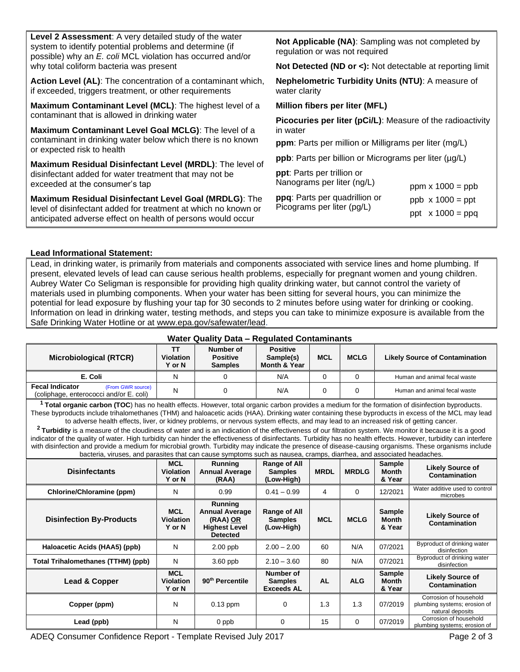| <b>Level 2 Assessment:</b> A very detailed study of the water<br>system to identify potential problems and determine (if<br>possible) why an E. coli MCL violation has occurred and/or | <b>Not Applicable (NA)</b> : Sampling was not completed by<br>regulation or was not required                 |  |  |  |  |
|----------------------------------------------------------------------------------------------------------------------------------------------------------------------------------------|--------------------------------------------------------------------------------------------------------------|--|--|--|--|
| why total coliform bacteria was present                                                                                                                                                | Not Detected (ND or <): Not detectable at reporting limit                                                    |  |  |  |  |
| Action Level (AL): The concentration of a contaminant which,<br>if exceeded, triggers treatment, or other requirements                                                                 | <b>Nephelometric Turbidity Units (NTU): A measure of</b><br>water clarity                                    |  |  |  |  |
| Maximum Contaminant Level (MCL): The highest level of a                                                                                                                                | Million fibers per liter (MFL)                                                                               |  |  |  |  |
| contaminant that is allowed in drinking water                                                                                                                                          | <b>Picocuries per liter (pCi/L):</b> Measure of the radioactivity<br>in water                                |  |  |  |  |
| Maximum Contaminant Level Goal MCLG): The level of a                                                                                                                                   |                                                                                                              |  |  |  |  |
| contaminant in drinking water below which there is no known<br>or expected risk to health                                                                                              | <b>ppm</b> : Parts per million or Milligrams per liter (mg/L)                                                |  |  |  |  |
|                                                                                                                                                                                        | <b>ppb</b> : Parts per billion or Micrograms per liter (µg/L)                                                |  |  |  |  |
| Maximum Residual Disinfectant Level (MRDL): The level of<br>disinfectant added for water treatment that may not be<br>exceeded at the consumer's tap                                   | <b>ppt</b> : Parts per trillion or<br>Nanograms per liter (ng/L)<br>$ppm \times 1000 = ppb$                  |  |  |  |  |
| Maximum Residual Disinfectant Level Goal (MRDLG): The<br>level of disinfectant added for treatment at which no known or<br>anticipated adverse effect on health of persons would occur | ppq: Parts per quadrillion or<br>$ppb \times 1000 = ppt$<br>Picograms per liter (pg/L)<br>ppt $x 1000 = ppq$ |  |  |  |  |
|                                                                                                                                                                                        |                                                                                                              |  |  |  |  |

### **Lead Informational Statement:**

Lead, in drinking water, is primarily from materials and components associated with service lines and home plumbing. If present, elevated levels of lead can cause serious health problems, especially for pregnant women and young children. Aubrey Water Co Seligman is responsible for providing high quality drinking water, but cannot control the variety of materials used in plumbing components. When your water has been sitting for several hours, you can minimize the potential for lead exposure by flushing your tap for 30 seconds to 2 minutes before using water for drinking or cooking. Information on lead in drinking water, testing methods, and steps you can take to minimize exposure is available from the Safe Drinking Water Hotline or at [www.epa.gov/safewater/lead.](http://www.epa.gov/safewater/lead)

### **Water Quality Data – Regulated Contaminants**

| Microbiological (RTCR)                                                                 | TT<br><b>Violation</b><br>Y or N | Number of<br><b>Positive</b><br><b>Samples</b> | <b>Positive</b><br>Sample(s)<br>Month & Year | <b>MCL</b> | <b>MCLG</b> | <b>Likely Source of Contamination</b> |
|----------------------------------------------------------------------------------------|----------------------------------|------------------------------------------------|----------------------------------------------|------------|-------------|---------------------------------------|
| E. Coli                                                                                | N                                |                                                | N/A                                          |            |             | Human and animal fecal waste          |
| <b>Fecal Indicator</b><br>(From GWR source)<br>(coliphage, enterococci and/or E. coli) | N                                |                                                | N/A                                          |            |             | Human and animal fecal waste          |

**<sup>1</sup> Total organic carbon (TOC**) has no health effects. However, total organic carbon provides a medium for the formation of disinfection byproducts. These byproducts include trihalomethanes (THM) and haloacetic acids (HAA). Drinking water containing these byproducts in excess of the MCL may lead to adverse health effects, liver, or kidney problems, or nervous system effects, and may lead to an increased risk of getting cancer.

**<sup>2</sup>Turbidity** is a measure of the cloudiness of water and is an indication of the effectiveness of our filtration system. We monitor it because it is a good indicator of the quality of water. High turbidity can hinder the effectiveness of disinfectants. Turbidity has no health effects. However, turbidity can interfere with disinfection and provide a medium for microbial growth. Turbidity may indicate the presence of disease-causing organisms. These organisms include bacteria, viruses, and parasites that can cause symptoms such as nausea, cramps, diarrhea, and associated headaches.

| <b>Disinfectants</b>               | <b>MCL</b><br><b>Violation</b><br><b>Y</b> or N | Running<br><b>Annual Average</b><br>(RAA)                                                      | Range of All<br><b>Samples</b><br>(Low-High)     | <b>MRDL</b> | <b>MRDLG</b> | <b>Sample</b><br><b>Month</b><br>& Year | <b>Likely Source of</b><br>Contamination                                   |
|------------------------------------|-------------------------------------------------|------------------------------------------------------------------------------------------------|--------------------------------------------------|-------------|--------------|-----------------------------------------|----------------------------------------------------------------------------|
| Chlorine/Chloramine (ppm)          | N                                               | 0.99                                                                                           | $0.41 - 0.99$                                    | 4           | $\Omega$     | 12/2021                                 | Water additive used to control<br>microbes                                 |
| <b>Disinfection By-Products</b>    | <b>MCL</b><br><b>Violation</b><br>Y or N        | <b>Running</b><br><b>Annual Average</b><br>(RAA) OR<br><b>Highest Level</b><br><b>Detected</b> | Range of All<br><b>Samples</b><br>(Low-High)     | <b>MCL</b>  | <b>MCLG</b>  | Sample<br><b>Month</b><br>& Year        | <b>Likely Source of</b><br>Contamination                                   |
| Haloacetic Acids (HAA5) (ppb)      | N                                               | $2.00$ ppb                                                                                     | $2.00 - 2.00$                                    | 60          | N/A          | 07/2021                                 | Byproduct of drinking water<br>disinfection                                |
| Total Trihalomethanes (TTHM) (ppb) | N                                               | $3.60$ ppb                                                                                     | $2.10 - 3.60$                                    | 80          | N/A          | 07/2021                                 | Byproduct of drinking water<br>disinfection                                |
| Lead & Copper                      | <b>MCL</b><br><b>Violation</b><br><b>Y</b> or N | 90 <sup>th</sup> Percentile                                                                    | Number of<br><b>Samples</b><br><b>Exceeds AL</b> | <b>AL</b>   | <b>ALG</b>   | <b>Sample</b><br><b>Month</b><br>& Year | <b>Likely Source of</b><br>Contamination                                   |
| Copper (ppm)                       | N                                               | $0.13$ ppm                                                                                     | 0                                                | 1.3         | 1.3          | 07/2019                                 | Corrosion of household<br>plumbing systems; erosion of<br>natural deposits |
| Lead (ppb)                         | N                                               | 0 ppb                                                                                          | 0                                                | 15          | $\Omega$     | 07/2019                                 | Corrosion of household<br>plumbing systems; erosion of                     |